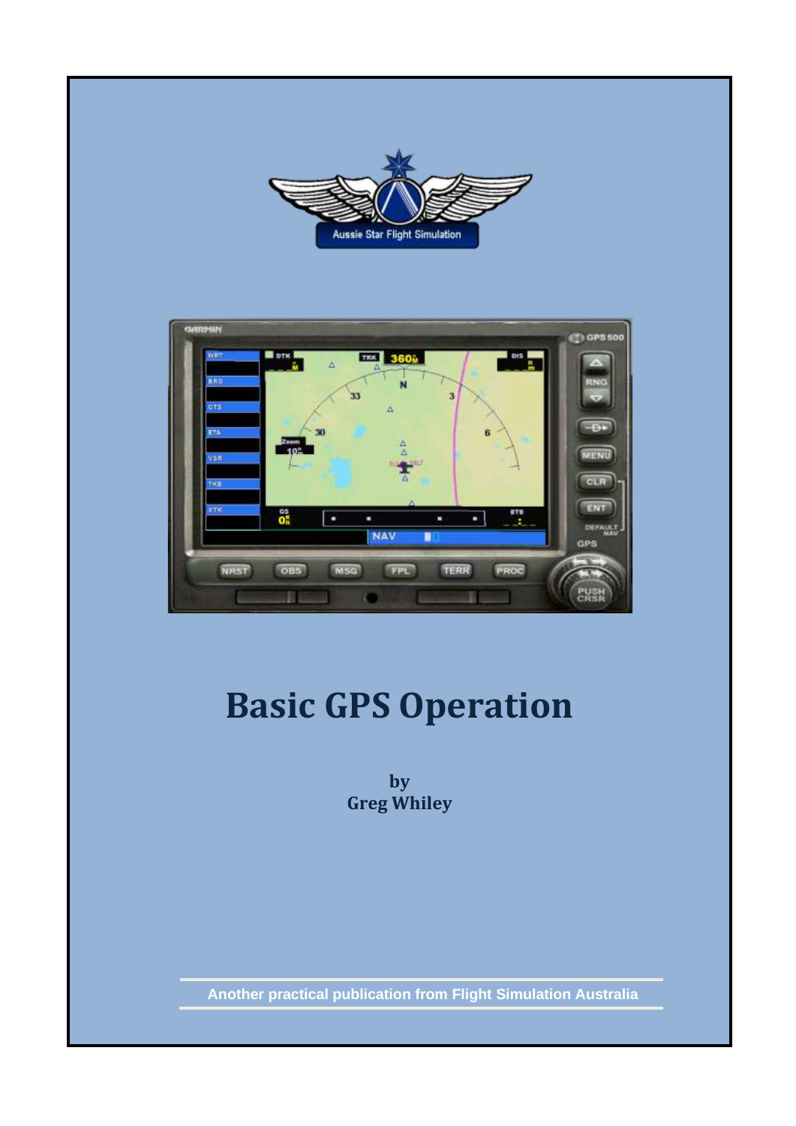



# **Basic GPS Operation**

**by Greg Whiley**

**Another practical publication from Flight Simulation Australia**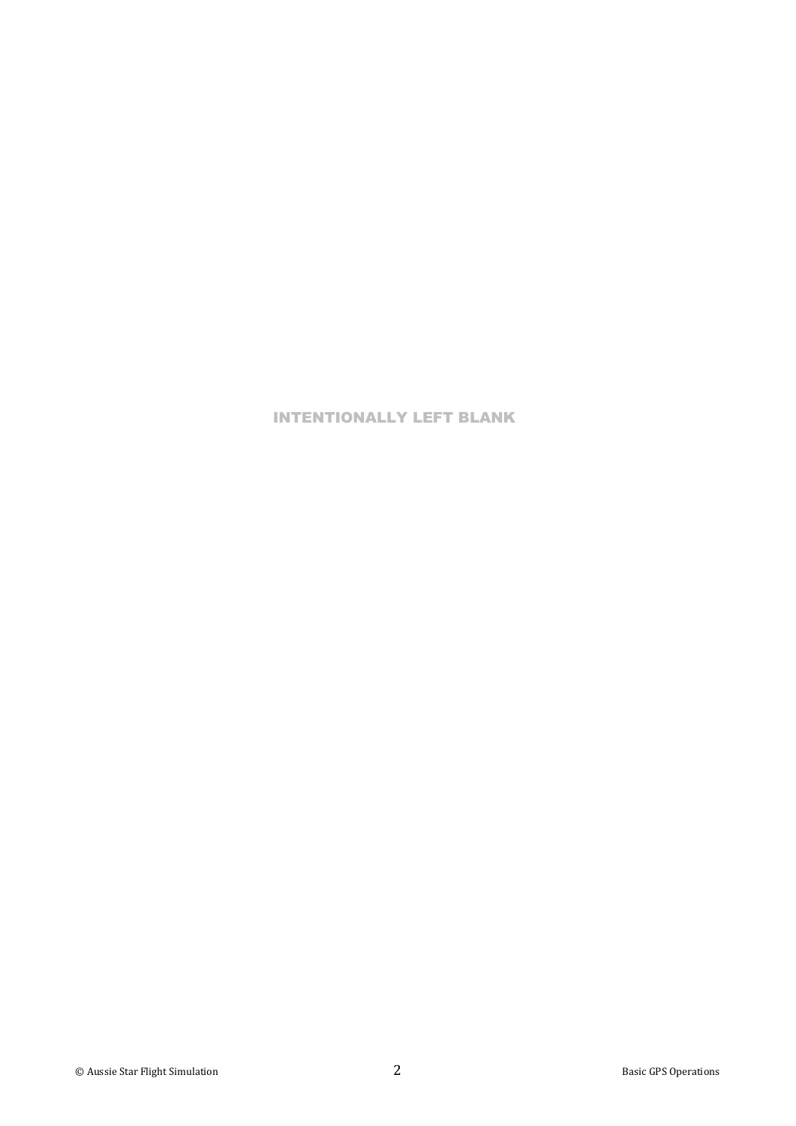## INTENTIONALLY LEFT BLANK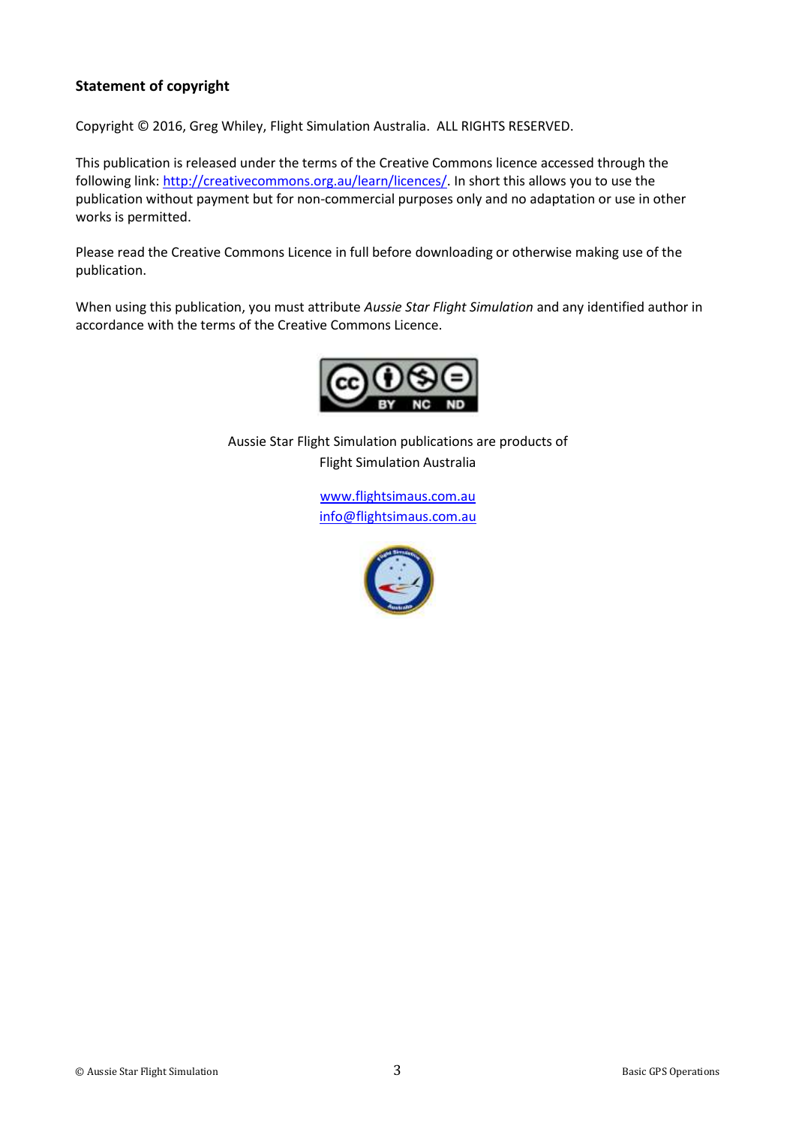## **Statement of copyright**

Copyright © 2016, Greg Whiley, Flight Simulation Australia. ALL RIGHTS RESERVED.

This publication is released under the terms of the Creative Commons licence accessed through the following link: [http://creativecommons.org.au/learn/licences/.](http://creativecommons.org.au/learn/licences/) In short this allows you to use the publication without payment but for non-commercial purposes only and no adaptation or use in other works is permitted.

Please read the Creative Commons Licence in full before downloading or otherwise making use of the publication.

When using this publication, you must attribute *Aussie Star Flight Simulation* and any identified author in accordance with the terms of the Creative Commons Licence.



Aussie Star Flight Simulation publications are products of Flight Simulation Australia

> [www.flightsimaus.com.au](http://www.flightsimaus.com.au/) <info@flightsimaus.com.au>

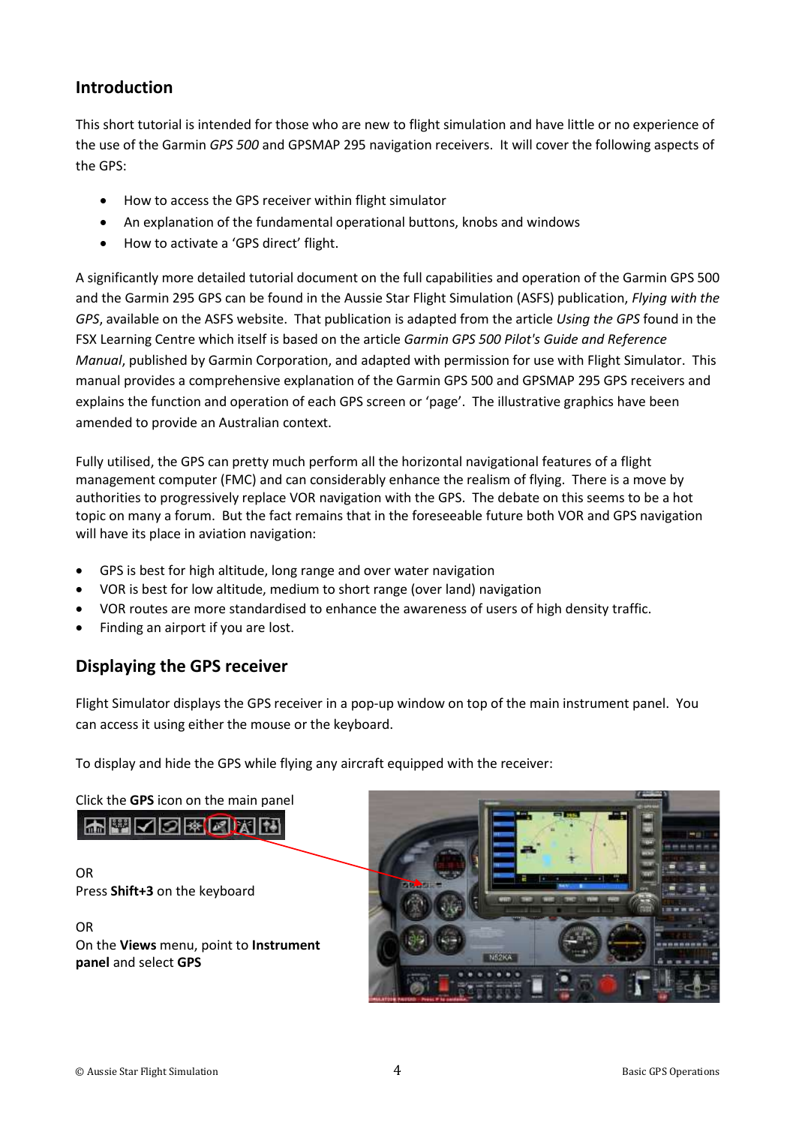## **Introduction**

This short tutorial is intended for those who are new to flight simulation and have little or no experience of the use of the Garmin *GPS 500* and GPSMAP 295 navigation receivers. It will cover the following aspects of the GPS:

- How to access the GPS receiver within flight simulator
- An explanation of the fundamental operational buttons, knobs and windows
- How to activate a 'GPS direct' flight.

A significantly more detailed tutorial document on the full capabilities and operation of the Garmin GPS 500 and the Garmin 295 GPS can be found in the Aussie Star Flight Simulation (ASFS) publication, *Flying with the GPS*, available on the ASFS website. That publication is adapted from the article *Using the GPS* found in the FSX Learning Centre which itself is based on the article *Garmin GPS 500 Pilot's Guide and Reference Manual*, published by Garmin Corporation, and adapted with permission for use with Flight Simulator. This manual provides a comprehensive explanation of the Garmin GPS 500 and GPSMAP 295 GPS receivers and explains the function and operation of each GPS screen or 'page'. The illustrative graphics have been amended to provide an Australian context.

Fully utilised, the GPS can pretty much perform all the horizontal navigational features of a flight management computer (FMC) and can considerably enhance the realism of flying. There is a move by authorities to progressively replace VOR navigation with the GPS. The debate on this seems to be a hot topic on many a forum. But the fact remains that in the foreseeable future both VOR and GPS navigation will have its place in aviation navigation:

- GPS is best for high altitude, long range and over water navigation
- VOR is best for low altitude, medium to short range (over land) navigation
- VOR routes are more standardised to enhance the awareness of users of high density traffic.
- Finding an airport if you are lost.

## **Displaying the GPS receiver**

Flight Simulator displays the GPS receiver in a pop-up window on top of the main instrument panel. You can access it using either the mouse or the keyboard.

To display and hide the GPS while flying any aircraft equipped with the receiver:

Click the **GPS** icon on the main panel



OR Press **Shift+3** on the keyboard

OR On the **Views** menu, point to **Instrument panel** and select **GPS**

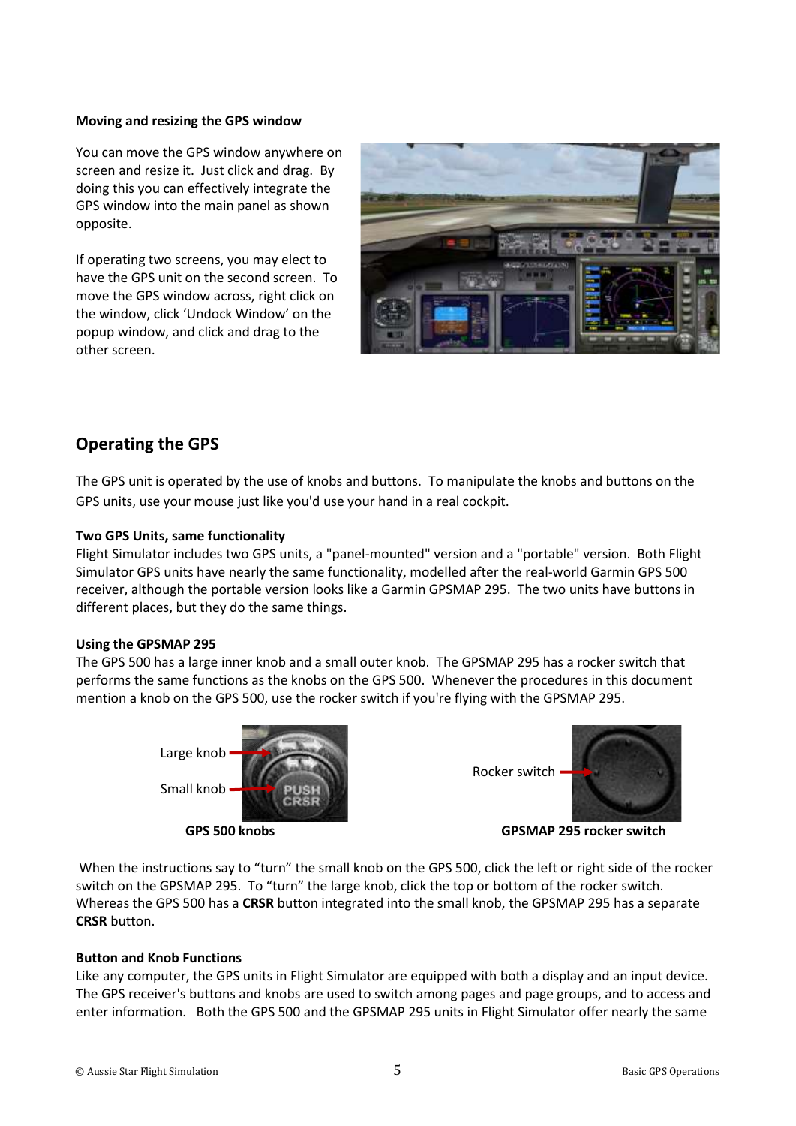#### **Moving and resizing the GPS window**

You can move the GPS window anywhere on screen and resize it. Just click and drag. By doing this you can effectively integrate the GPS window into the main panel as shown opposite.

If operating two screens, you may elect to have the GPS unit on the second screen. To move the GPS window across, right click on the window, click 'Undock Window' on the popup window, and click and drag to the other screen.



# **Operating the GPS**

The GPS unit is operated by the use of knobs and buttons. To manipulate the knobs and buttons on the GPS units, use your mouse just like you'd use your hand in a real cockpit.

## **Two GPS Units, same functionality**

Flight Simulator includes two GPS units, a "panel-mounted" version and a "portable" version. Both Flight Simulator GPS units have nearly the same functionality, modelled after the real-world Garmin GPS 500 receiver, although the portable version looks like a Garmin GPSMAP 295. The two units have buttons in different places, but they do the same things.

## **Using the GPSMAP 295**

The GPS 500 has a large inner knob and a small outer knob. The GPSMAP 295 has a rocker switch that performs the same functions as the knobs on the GPS 500. Whenever the procedures in this document mention a knob on the GPS 500, use the rocker switch if you're flying with the GPSMAP 295.

> Large knob Small knob



Rocker switch



**GPS 500 knobs GPSMAP 295 rocker switch**

When the instructions say to "turn" the small knob on the GPS 500, click the left or right side of the rocker switch on the GPSMAP 295. To "turn" the large knob, click the top or bottom of the rocker switch. Whereas the GPS 500 has a **CRSR** button integrated into the small knob, the GPSMAP 295 has a separate **CRSR** button.

## **Button and Knob Functions**

Like any computer, the GPS units in Flight Simulator are equipped with both a display and an input device. The GPS receiver's buttons and knobs are used to switch among pages and page groups, and to access and enter information. Both the GPS 500 and the GPSMAP 295 units in Flight Simulator offer nearly the same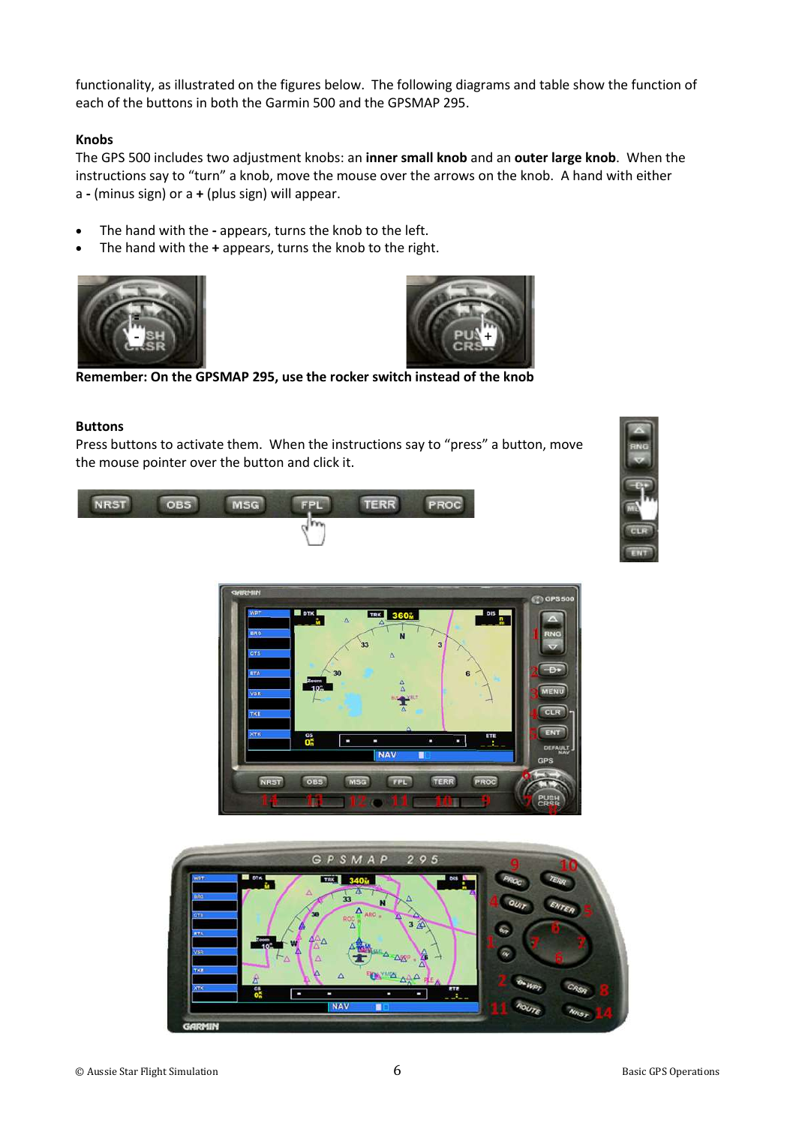functionality, as illustrated on the figures below. The following diagrams and table show the function of each of the buttons in both the Garmin 500 and the GPSMAP 295.

#### **Knobs**

The GPS 500 includes two adjustment knobs: an **inner small knob** and an **outer large knob**. When the instructions say to "turn" a knob, move the mouse over the arrows on the knob. A hand with either a **-** (minus sign) or a **+** (plus sign) will appear.

- The hand with the **-** appears, turns the knob to the left.
- The hand with the **+** appears, turns the knob to the right.





**Remember: On the GPSMAP 295, use the rocker switch instead of the knob**

#### **Buttons**

Press buttons to activate them. When the instructions say to "press" a button, move the mouse pointer over the button and click it.







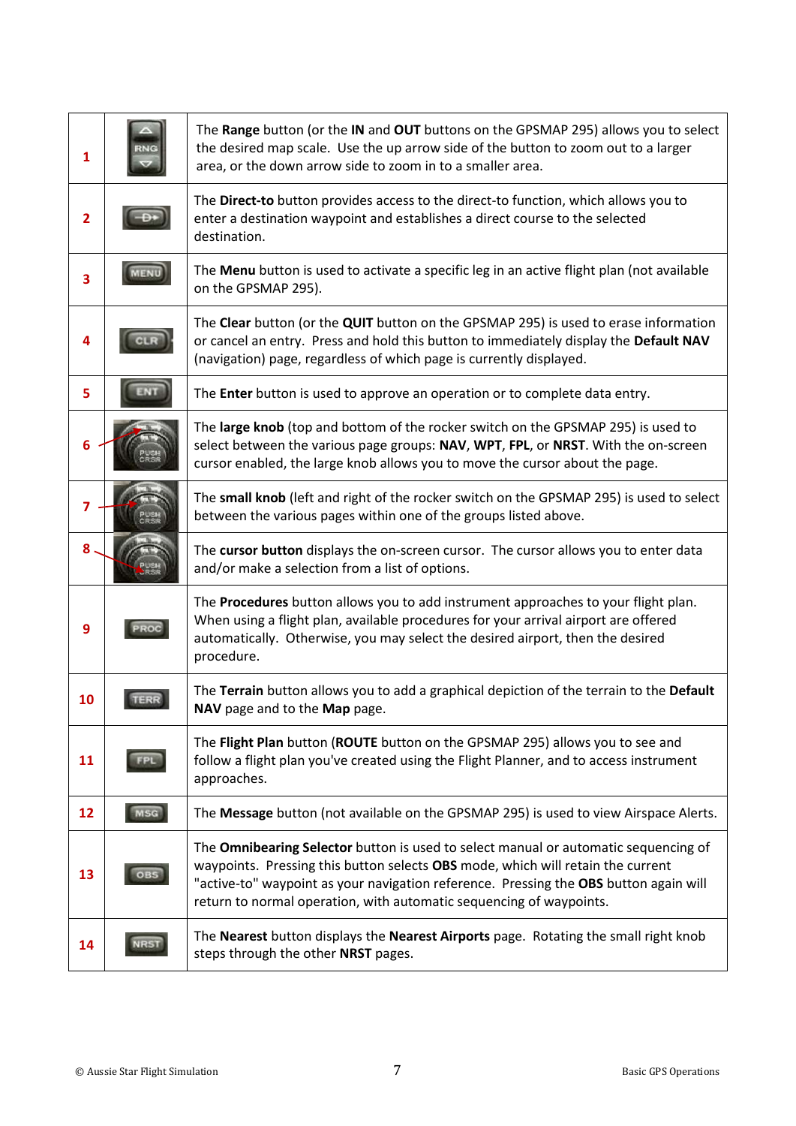| 1            | The Range button (or the IN and OUT buttons on the GPSMAP 295) allows you to select<br>the desired map scale. Use the up arrow side of the button to zoom out to a larger<br>area, or the down arrow side to zoom in to a smaller area.                                                                                                |
|--------------|----------------------------------------------------------------------------------------------------------------------------------------------------------------------------------------------------------------------------------------------------------------------------------------------------------------------------------------|
| $\mathbf{2}$ | The Direct-to button provides access to the direct-to function, which allows you to<br>enter a destination waypoint and establishes a direct course to the selected<br>destination.                                                                                                                                                    |
| 3            | The Menu button is used to activate a specific leg in an active flight plan (not available<br>on the GPSMAP 295).                                                                                                                                                                                                                      |
| 4            | The Clear button (or the QUIT button on the GPSMAP 295) is used to erase information<br>or cancel an entry. Press and hold this button to immediately display the Default NAV<br>(navigation) page, regardless of which page is currently displayed.                                                                                   |
| 5            | The <b>Enter</b> button is used to approve an operation or to complete data entry.                                                                                                                                                                                                                                                     |
| 6            | The large knob (top and bottom of the rocker switch on the GPSMAP 295) is used to<br>select between the various page groups: NAV, WPT, FPL, or NRST. With the on-screen<br>cursor enabled, the large knob allows you to move the cursor about the page.                                                                                |
|              | The small knob (left and right of the rocker switch on the GPSMAP 295) is used to select<br>between the various pages within one of the groups listed above.                                                                                                                                                                           |
| 8            | The cursor button displays the on-screen cursor. The cursor allows you to enter data<br>and/or make a selection from a list of options.                                                                                                                                                                                                |
| 9            | The Procedures button allows you to add instrument approaches to your flight plan.<br>When using a flight plan, available procedures for your arrival airport are offered<br>automatically. Otherwise, you may select the desired airport, then the desired<br>procedure.                                                              |
| 10           | The Terrain button allows you to add a graphical depiction of the terrain to the Default<br>NAV page and to the Map page.                                                                                                                                                                                                              |
| 11           | The Flight Plan button (ROUTE button on the GPSMAP 295) allows you to see and<br>follow a flight plan you've created using the Flight Planner, and to access instrument<br>approaches.                                                                                                                                                 |
| 12           | The Message button (not available on the GPSMAP 295) is used to view Airspace Alerts.                                                                                                                                                                                                                                                  |
| 13           | The Omnibearing Selector button is used to select manual or automatic sequencing of<br>waypoints. Pressing this button selects OBS mode, which will retain the current<br>"active-to" waypoint as your navigation reference. Pressing the OBS button again will<br>return to normal operation, with automatic sequencing of waypoints. |
| 14           | The Nearest button displays the Nearest Airports page. Rotating the small right knob<br>steps through the other NRST pages.                                                                                                                                                                                                            |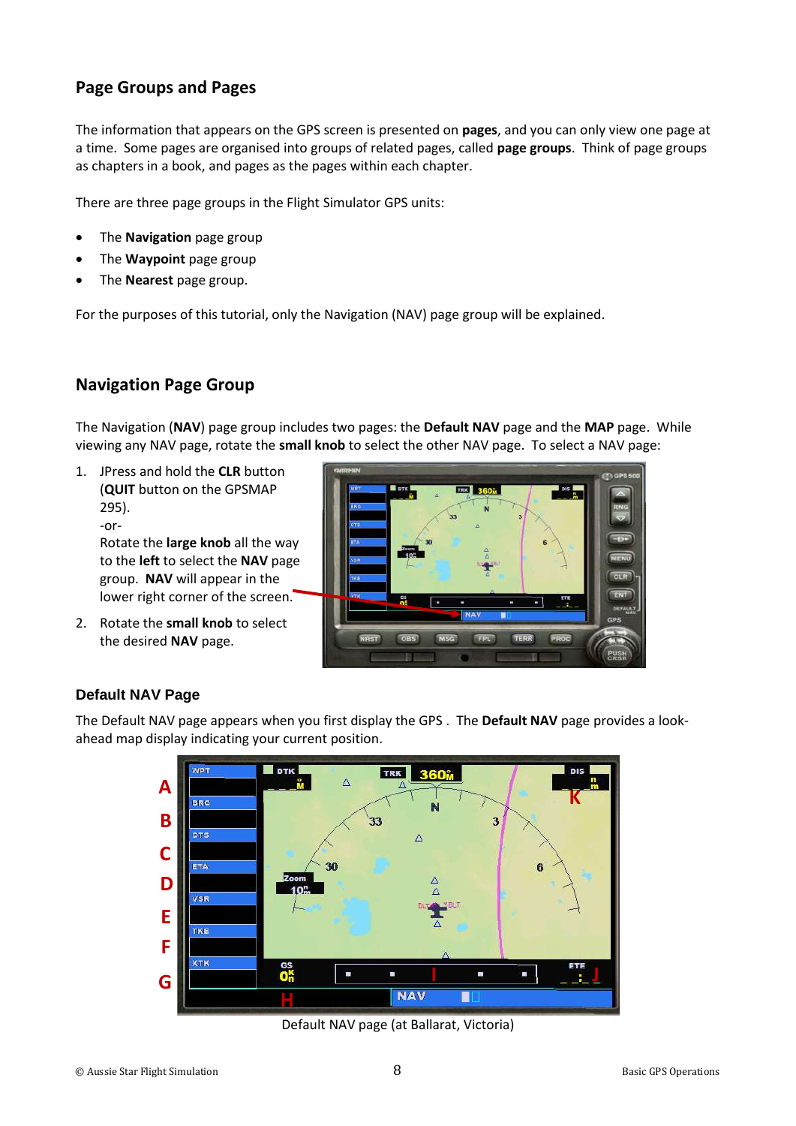## **Page Groups and Pages**

The information that appears on the GPS screen is presented on **pages**, and you can only view one page at a time. Some pages are organised into groups of related pages, called **page groups**. Think of page groups as chapters in a book, and pages as the pages within each chapter.

There are three page groups in the Flight Simulator GPS units:

- The **Navigation** page group
- The **Waypoint** page group
- The **Nearest** page group.

For the purposes of this tutorial, only the Navigation (NAV) page group will be explained.

## **Navigation Page Group**

The Navigation (**NAV**) page group includes two pages: the **Default NAV** page and the **MAP** page. While viewing any NAV page, rotate the **small knob** to select the other NAV page. To select a NAV page:

1. JPress and hold the **CLR** button (**QUIT** button on the GPSMAP 295). -or-

Rotate the **large knob** all the way to the **left** to select the **NAV** page group. **NAV** will appear in the lower right corner of the screen.

2. Rotate the **small knob** to select the desired **NAV** page.



## **Default NAV Page**

The Default NAV page appears when you first display the GPS . The **Default NAV** page provides a lookahead map display indicating your current position.



Default NAV page (at Ballarat, Victoria)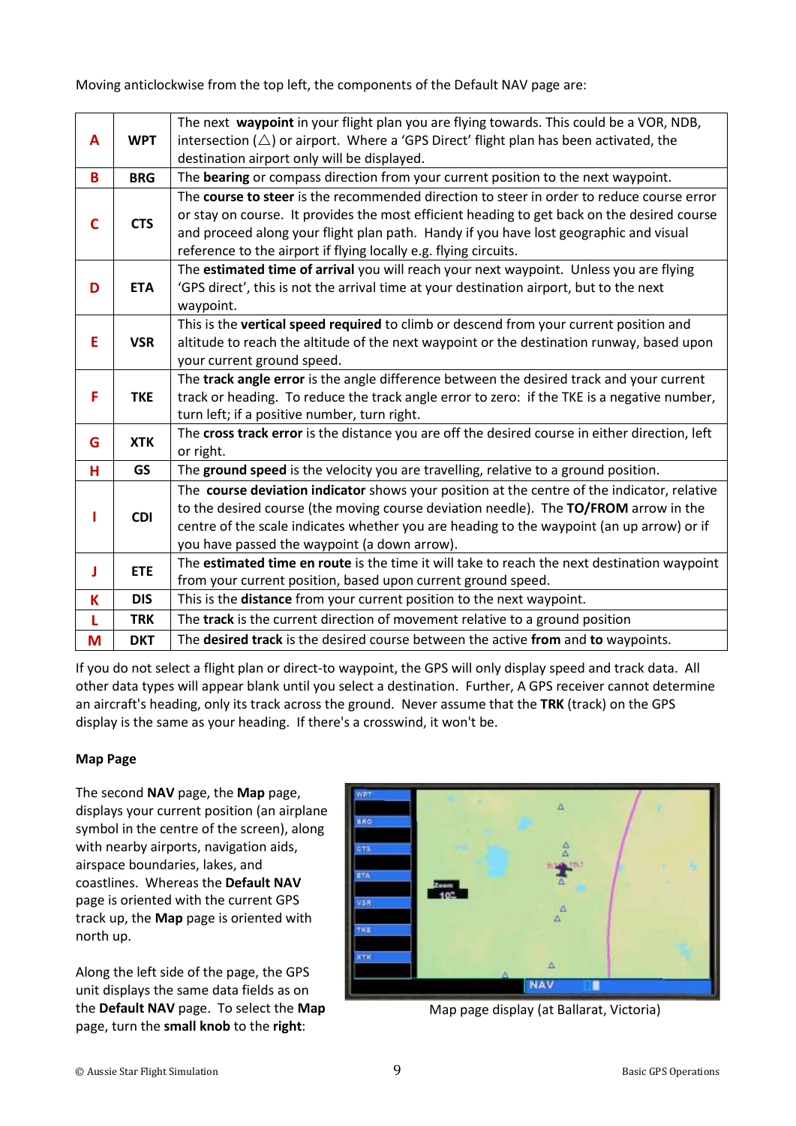Moving anticlockwise from the top left, the components of the Default NAV page are:

| A | <b>WPT</b> | The next waypoint in your flight plan you are flying towards. This could be a VOR, NDB,<br>intersection $(\triangle)$ or airport. Where a 'GPS Direct' flight plan has been activated, the<br>destination airport only will be displayed.                                                                                                             |
|---|------------|-------------------------------------------------------------------------------------------------------------------------------------------------------------------------------------------------------------------------------------------------------------------------------------------------------------------------------------------------------|
| B | <b>BRG</b> | The bearing or compass direction from your current position to the next waypoint.                                                                                                                                                                                                                                                                     |
| C | <b>CTS</b> | The course to steer is the recommended direction to steer in order to reduce course error<br>or stay on course. It provides the most efficient heading to get back on the desired course<br>and proceed along your flight plan path. Handy if you have lost geographic and visual<br>reference to the airport if flying locally e.g. flying circuits. |
| D | <b>ETA</b> | The estimated time of arrival you will reach your next waypoint. Unless you are flying<br>'GPS direct', this is not the arrival time at your destination airport, but to the next<br>waypoint.                                                                                                                                                        |
| Ε | <b>VSR</b> | This is the vertical speed required to climb or descend from your current position and<br>altitude to reach the altitude of the next waypoint or the destination runway, based upon<br>your current ground speed.                                                                                                                                     |
| F | <b>TKE</b> | The track angle error is the angle difference between the desired track and your current<br>track or heading. To reduce the track angle error to zero: if the TKE is a negative number,<br>turn left; if a positive number, turn right.                                                                                                               |
| G | <b>XTK</b> | The cross track error is the distance you are off the desired course in either direction, left<br>or right.                                                                                                                                                                                                                                           |
| H | <b>GS</b>  | The ground speed is the velocity you are travelling, relative to a ground position.                                                                                                                                                                                                                                                                   |
| п | <b>CDI</b> | The course deviation indicator shows your position at the centre of the indicator, relative<br>to the desired course (the moving course deviation needle). The TO/FROM arrow in the<br>centre of the scale indicates whether you are heading to the waypoint (an up arrow) or if<br>you have passed the waypoint (a down arrow).                      |
| J | <b>ETE</b> | The estimated time en route is the time it will take to reach the next destination waypoint<br>from your current position, based upon current ground speed.                                                                                                                                                                                           |
| K | <b>DIS</b> | This is the distance from your current position to the next waypoint.                                                                                                                                                                                                                                                                                 |
| L | <b>TRK</b> | The track is the current direction of movement relative to a ground position                                                                                                                                                                                                                                                                          |
| M | <b>DKT</b> | The desired track is the desired course between the active from and to waypoints.                                                                                                                                                                                                                                                                     |

If you do not select a flight plan or direct-to waypoint, the GPS will only display speed and track data. All other data types will appear blank until you select a destination. Further, A GPS receiver cannot determine an aircraft's heading, only its track across the ground. Never assume that the **TRK** (track) on the GPS display is the same as your heading. If there's a crosswind, it won't be.

## **Map Page**

The second **NAV** page, the **Map** page, displays your current position (an airplane symbol in the centre of the screen), along with nearby airports, navigation aids, airspace boundaries, lakes, and coastlines. Whereas the **Default NAV** page is oriented with the current GPS track up, the **Map** page is oriented with north up.

Along the left side of the page, the GPS unit displays the same data fields as on the **Default NAV** page. To select the **Map** page, turn the **small knob** to the **right**:



Map page display (at Ballarat, Victoria)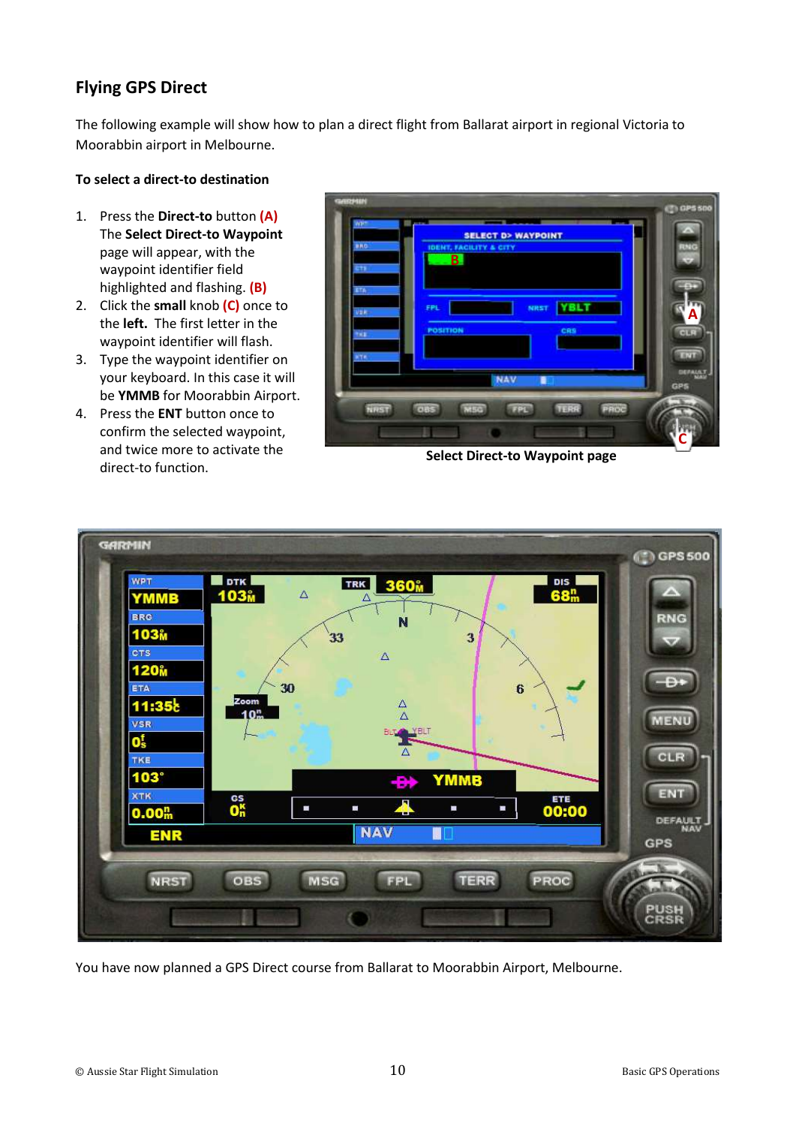# **Flying GPS Direct**

The following example will show how to plan a direct flight from Ballarat airport in regional Victoria to Moorabbin airport in Melbourne.

#### **To select a direct-to destination**

- 1. Press the **Direct-to** button **(A)** The **Select Direct-to Waypoint** page will appear, with the waypoint identifier field highlighted and flashing. **(B)**
- 2. Click the **small** knob **(C)** once to the **left.** The first letter in the waypoint identifier will flash.
- 3. Type the waypoint identifier on your keyboard. In this case it will be **YMMB** for Moorabbin Airport.
- 4. Press the **ENT** button once to confirm the selected waypoint, and twice more to activate the direct-to function.



**Select Direct-to Waypoint page**



You have now planned a GPS Direct course from Ballarat to Moorabbin Airport, Melbourne.